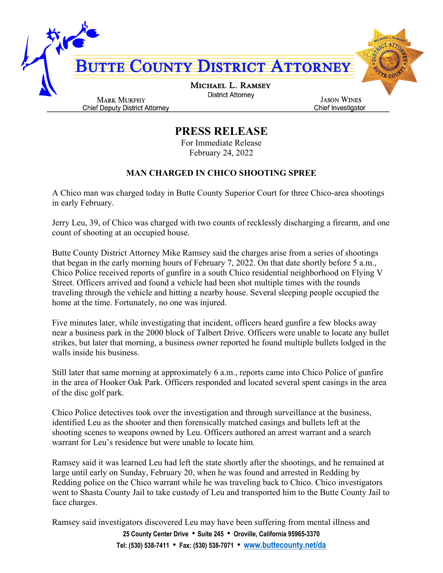

## **PRESS RELEASE**

For Immediate Release February 24, 2022

## **MAN CHARGED IN CHICO SHOOTING SPREE**

A Chico man was charged today in Butte County Superior Court for three Chico-area shootings in early February.

Jerry Leu, 39, of Chico was charged with two counts of recklessly discharging a firearm, and one count of shooting at an occupied house.

Butte County District Attorney Mike Ramsey said the charges arise from a series of shootings that began in the early morning hours of February 7, 2022. On that date shortly before 5 a.m., Chico Police received reports of gunfire in a south Chico residential neighborhood on Flying V Street. Officers arrived and found a vehicle had been shot multiple times with the rounds traveling through the vehicle and hitting a nearby house. Several sleeping people occupied the home at the time. Fortunately, no one was injured.

Five minutes later, while investigating that incident, officers heard gunfire a few blocks away near a business park in the 2000 block of Talbert Drive. Officers were unable to locate any bullet strikes, but later that morning, a business owner reported he found multiple bullets lodged in the walls inside his business.

Still later that same morning at approximately 6 a.m., reports came into Chico Police of gunfire in the area of Hooker Oak Park. Officers responded and located several spent casings in the area of the disc golf park.

Chico Police detectives took over the investigation and through surveillance at the business, identified Leu as the shooter and then forensically matched casings and bullets left at the shooting scenes to weapons owned by Leu. Officers authored an arrest warrant and a search warrant for Leu's residence but were unable to locate him.

Ramsey said it was learned Leu had left the state shortly after the shootings, and he remained at large until early on Sunday, February 20, when he was found and arrested in Redding by Redding police on the Chico warrant while he was traveling back to Chico. Chico investigators went to Shasta County Jail to take custody of Leu and transported him to the Butte County Jail to face charges.

**25 County Center Drive** • **Suite 245** • **Oroville, California 95965-3370** Ramsey said investigators discovered Leu may have been suffering from mental illness and

**Tel: (530) 538-7411** • **Fax: (530) 538-7071** • **[www.buttecounty.net/da](http://www.buttecounty.net/da)**